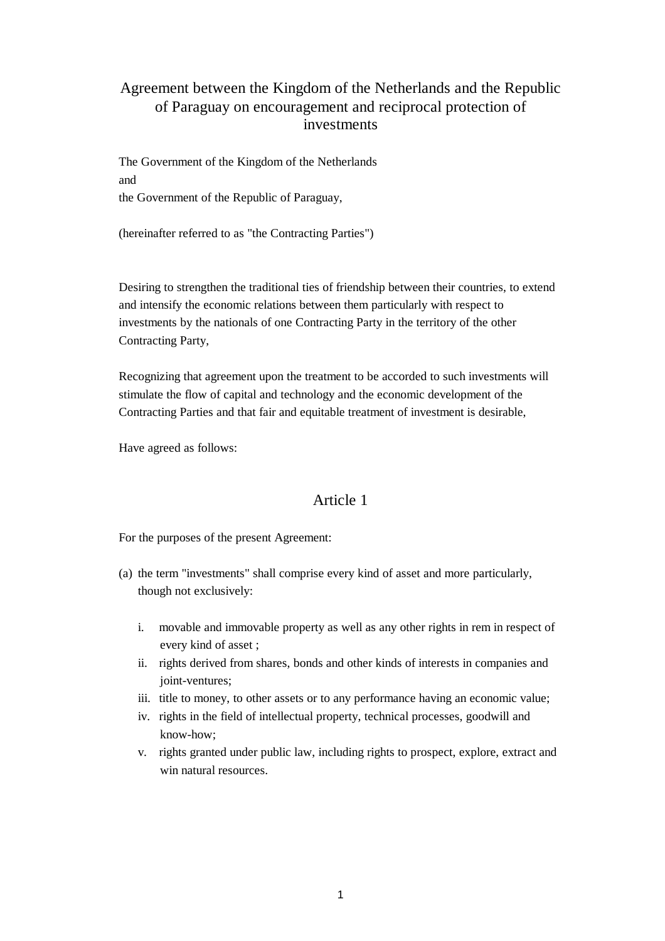# Agreement between the Kingdom of the Netherlands and the Republic of Paraguay on encouragement and reciprocal protection of investments

The Government of the Kingdom of the Netherlands and the Government of the Republic of Paraguay,

(hereinafter referred to as "the Contracting Parties")

Desiring to strengthen the traditional ties of friendship between their countries, to extend and intensify the economic relations between them particularly with respect to investments by the nationals of one Contracting Party in the territory of the other Contracting Party,

Recognizing that agreement upon the treatment to be accorded to such investments will stimulate the flow of capital and technology and the economic development of the Contracting Parties and that fair and equitable treatment of investment is desirable,

Have agreed as follows:

## Article 1

For the purposes of the present Agreement:

- (a) the term "investments" shall comprise every kind of asset and more particularly, though not exclusively:
	- i. movable and immovable property as well as any other rights in rem in respect of every kind of asset ;
	- ii. rights derived from shares, bonds and other kinds of interests in companies and joint-ventures;
	- iii. title to money, to other assets or to any performance having an economic value;
	- iv. rights in the field of intellectual property, technical processes, goodwill and know-how;
	- v. rights granted under public law, including rights to prospect, explore, extract and win natural resources.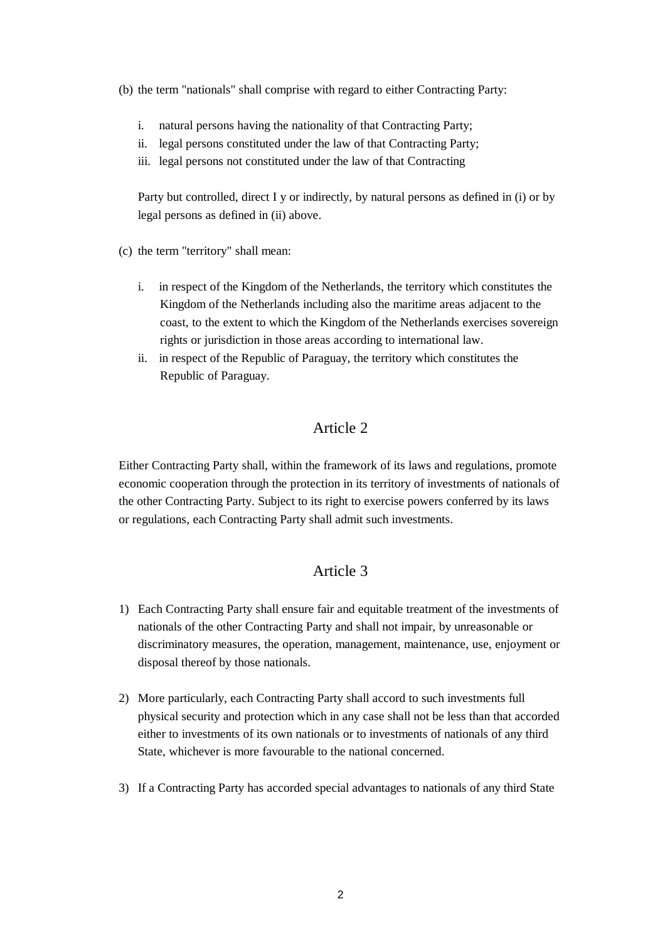(b) the term "nationals" shall comprise with regard to either Contracting Party:

- i. natural persons having the nationality of that Contracting Party;
- ii. legal persons constituted under the law of that Contracting Party;
- iii. legal persons not constituted under the law of that Contracting

Party but controlled, direct I y or indirectly, by natural persons as defined in (i) or by legal persons as defined in (ii) above.

- (c) the term "territory" shall mean:
	- i. in respect of the Kingdom of the Netherlands, the territory which constitutes the Kingdom of the Netherlands including also the maritime areas adjacent to the coast, to the extent to which the Kingdom of the Netherlands exercises sovereign rights or jurisdiction in those areas according to international law.
	- ii. in respect of the Republic of Paraguay, the territory which constitutes the Republic of Paraguay.

## Article 2

Either Contracting Party shall, within the framework of its laws and regulations, promote economic cooperation through the protection in its territory of investments of nationals of the other Contracting Party. Subject to its right to exercise powers conferred by its laws or regulations, each Contracting Party shall admit such investments.

# Article 3

- 1) Each Contracting Party shall ensure fair and equitable treatment of the investments of nationals of the other Contracting Party and shall not impair, by unreasonable or discriminatory measures, the operation, management, maintenance, use, enjoyment or disposal thereof by those nationals.
- 2) More particularly, each Contracting Party shall accord to such investments full physical security and protection which in any case shall not be less than that accorded either to investments of its own nationals or to investments of nationals of any third State, whichever is more favourable to the national concerned.
- 3) If a Contracting Party has accorded special advantages to nationals of any third State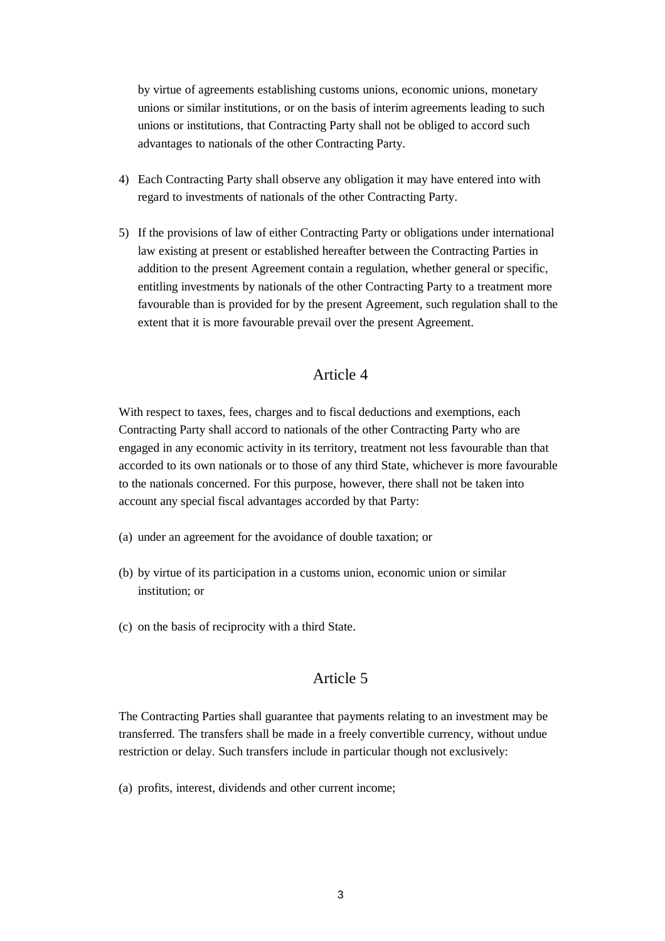by virtue of agreements establishing customs unions, economic unions, monetary unions or similar institutions, or on the basis of interim agreements leading to such unions or institutions, that Contracting Party shall not be obliged to accord such advantages to nationals of the other Contracting Party.

- 4) Each Contracting Party shall observe any obligation it may have entered into with regard to investments of nationals of the other Contracting Party.
- 5) If the provisions of law of either Contracting Party or obligations under international law existing at present or established hereafter between the Contracting Parties in addition to the present Agreement contain a regulation, whether general or specific, entitling investments by nationals of the other Contracting Party to a treatment more favourable than is provided for by the present Agreement, such regulation shall to the extent that it is more favourable prevail over the present Agreement.

#### Article 4

With respect to taxes, fees, charges and to fiscal deductions and exemptions, each Contracting Party shall accord to nationals of the other Contracting Party who are engaged in any economic activity in its territory, treatment not less favourable than that accorded to its own nationals or to those of any third State, whichever is more favourable to the nationals concerned. For this purpose, however, there shall not be taken into account any special fiscal advantages accorded by that Party:

- (a) under an agreement for the avoidance of double taxation; or
- (b) by virtue of its participation in a customs union, economic union or similar institution; or
- (c) on the basis of reciprocity with a third State.

## Article 5

The Contracting Parties shall guarantee that payments relating to an investment may be transferred. The transfers shall be made in a freely convertible currency, without undue restriction or delay. Such transfers include in particular though not exclusively:

(a) profits, interest, dividends and other current income;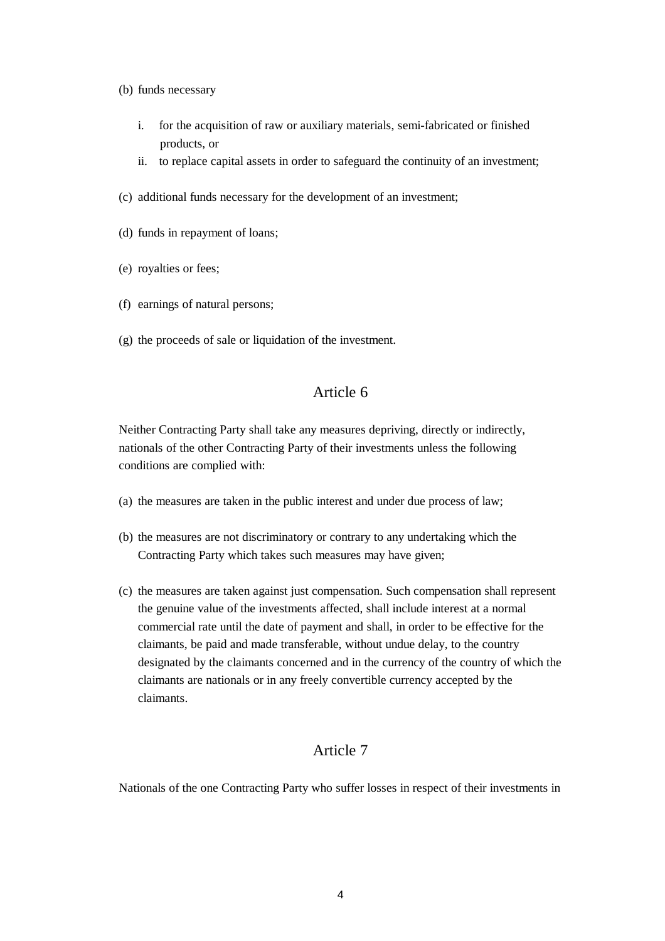#### (b) funds necessary

- i. for the acquisition of raw or auxiliary materials, semi-fabricated or finished products, or
- ii. to replace capital assets in order to safeguard the continuity of an investment;
- (c) additional funds necessary for the development of an investment;
- (d) funds in repayment of loans;
- (e) royalties or fees;
- (f) earnings of natural persons;
- (g) the proceeds of sale or liquidation of the investment.

## Article 6

Neither Contracting Party shall take any measures depriving, directly or indirectly, nationals of the other Contracting Party of their investments unless the following conditions are complied with:

- (a) the measures are taken in the public interest and under due process of law;
- (b) the measures are not discriminatory or contrary to any undertaking which the Contracting Party which takes such measures may have given;
- (c) the measures are taken against just compensation. Such compensation shall represent the genuine value of the investments affected, shall include interest at a normal commercial rate until the date of payment and shall, in order to be effective for the claimants, be paid and made transferable, without undue delay, to the country designated by the claimants concerned and in the currency of the country of which the claimants are nationals or in any freely convertible currency accepted by the claimants.

#### Article 7

Nationals of the one Contracting Party who suffer losses in respect of their investments in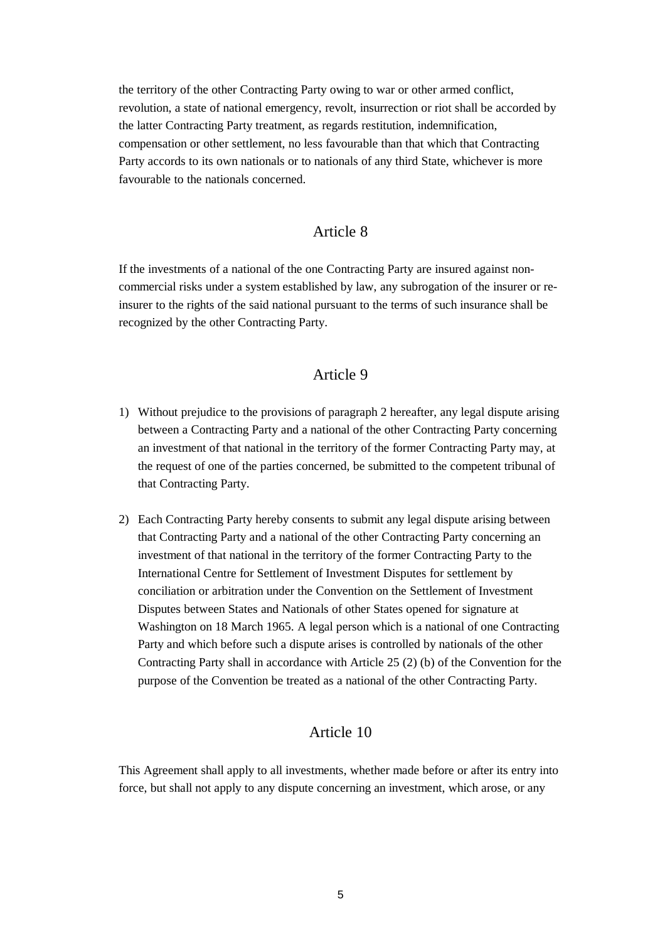the territory of the other Contracting Party owing to war or other armed conflict, revolution, a state of national emergency, revolt, insurrection or riot shall be accorded by the latter Contracting Party treatment, as regards restitution, indemnification, compensation or other settlement, no less favourable than that which that Contracting Party accords to its own nationals or to nationals of any third State, whichever is more favourable to the nationals concerned.

#### Article 8

If the investments of a national of the one Contracting Party are insured against noncommercial risks under a system established by law, any subrogation of the insurer or reinsurer to the rights of the said national pursuant to the terms of such insurance shall be recognized by the other Contracting Party.

#### Article 9

- 1) Without prejudice to the provisions of paragraph 2 hereafter, any legal dispute arising between a Contracting Party and a national of the other Contracting Party concerning an investment of that national in the territory of the former Contracting Party may, at the request of one of the parties concerned, be submitted to the competent tribunal of that Contracting Party.
- 2) Each Contracting Party hereby consents to submit any legal dispute arising between that Contracting Party and a national of the other Contracting Party concerning an investment of that national in the territory of the former Contracting Party to the International Centre for Settlement of Investment Disputes for settlement by conciliation or arbitration under the Convention on the Settlement of Investment Disputes between States and Nationals of other States opened for signature at Washington on 18 March 1965. A legal person which is a national of one Contracting Party and which before such a dispute arises is controlled by nationals of the other Contracting Party shall in accordance with Article 25 (2) (b) of the Convention for the purpose of the Convention be treated as a national of the other Contracting Party.

## Article 10

This Agreement shall apply to all investments, whether made before or after its entry into force, but shall not apply to any dispute concerning an investment, which arose, or any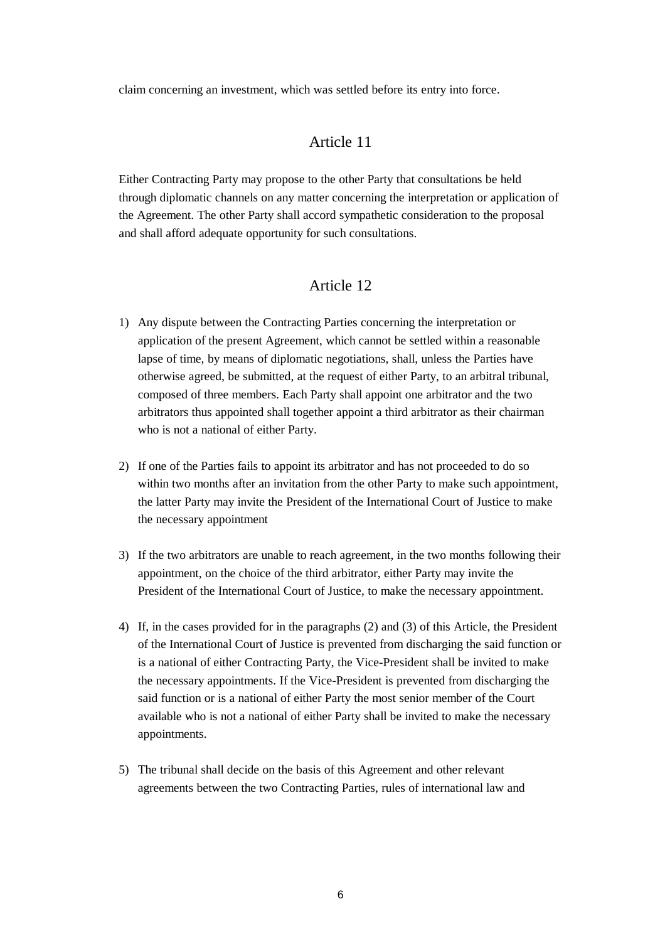claim concerning an investment, which was settled before its entry into force.

#### Article 11

Either Contracting Party may propose to the other Party that consultations be held through diplomatic channels on any matter concerning the interpretation or application of the Agreement. The other Party shall accord sympathetic consideration to the proposal and shall afford adequate opportunity for such consultations.

#### Article 12

- 1) Any dispute between the Contracting Parties concerning the interpretation or application of the present Agreement, which cannot be settled within a reasonable lapse of time, by means of diplomatic negotiations, shall, unless the Parties have otherwise agreed, be submitted, at the request of either Party, to an arbitral tribunal, composed of three members. Each Party shall appoint one arbitrator and the two arbitrators thus appointed shall together appoint a third arbitrator as their chairman who is not a national of either Party.
- 2) If one of the Parties fails to appoint its arbitrator and has not proceeded to do so within two months after an invitation from the other Party to make such appointment, the latter Party may invite the President of the International Court of Justice to make the necessary appointment
- 3) If the two arbitrators are unable to reach agreement, in the two months following their appointment, on the choice of the third arbitrator, either Party may invite the President of the International Court of Justice, to make the necessary appointment.
- 4) If, in the cases provided for in the paragraphs (2) and (3) of this Article, the President of the International Court of Justice is prevented from discharging the said function or is a national of either Contracting Party, the Vice-President shall be invited to make the necessary appointments. If the Vice-President is prevented from discharging the said function or is a national of either Party the most senior member of the Court available who is not a national of either Party shall be invited to make the necessary appointments.
- 5) The tribunal shall decide on the basis of this Agreement and other relevant agreements between the two Contracting Parties, rules of international law and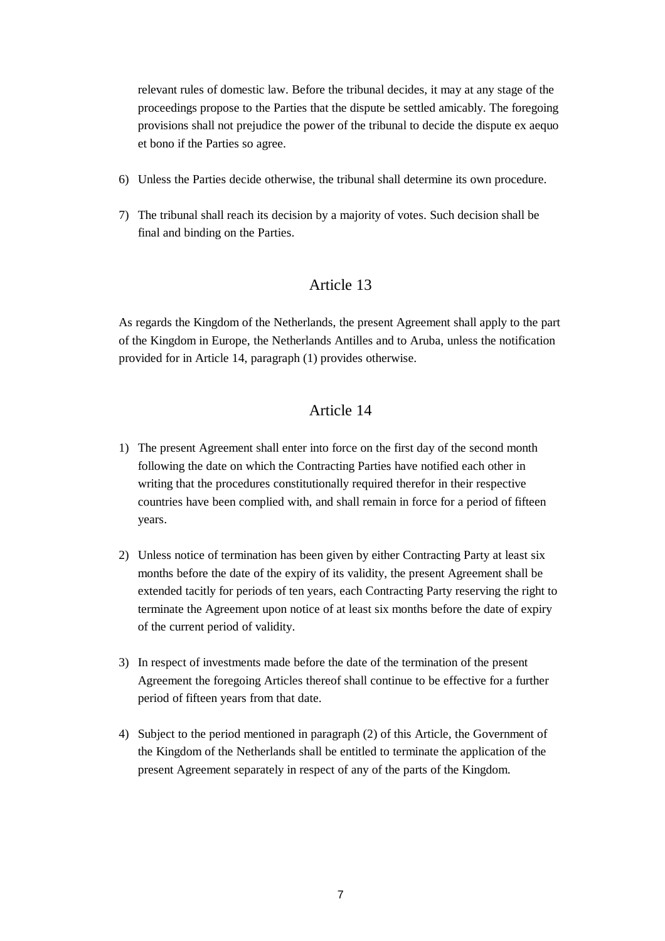relevant rules of domestic law. Before the tribunal decides, it may at any stage of the proceedings propose to the Parties that the dispute be settled amicably. The foregoing provisions shall not prejudice the power of the tribunal to decide the dispute ex aequo et bono if the Parties so agree.

- 6) Unless the Parties decide otherwise, the tribunal shall determine its own procedure.
- 7) The tribunal shall reach its decision by a majority of votes. Such decision shall be final and binding on the Parties.

# Article 13

As regards the Kingdom of the Netherlands, the present Agreement shall apply to the part of the Kingdom in Europe, the Netherlands Antilles and to Aruba, unless the notification provided for in Article 14, paragraph (1) provides otherwise.

## Article 14

- 1) The present Agreement shall enter into force on the first day of the second month following the date on which the Contracting Parties have notified each other in writing that the procedures constitutionally required therefor in their respective countries have been complied with, and shall remain in force for a period of fifteen years.
- 2) Unless notice of termination has been given by either Contracting Party at least six months before the date of the expiry of its validity, the present Agreement shall be extended tacitly for periods of ten years, each Contracting Party reserving the right to terminate the Agreement upon notice of at least six months before the date of expiry of the current period of validity.
- 3) In respect of investments made before the date of the termination of the present Agreement the foregoing Articles thereof shall continue to be effective for a further period of fifteen years from that date.
- 4) Subject to the period mentioned in paragraph (2) of this Article, the Government of the Kingdom of the Netherlands shall be entitled to terminate the application of the present Agreement separately in respect of any of the parts of the Kingdom.